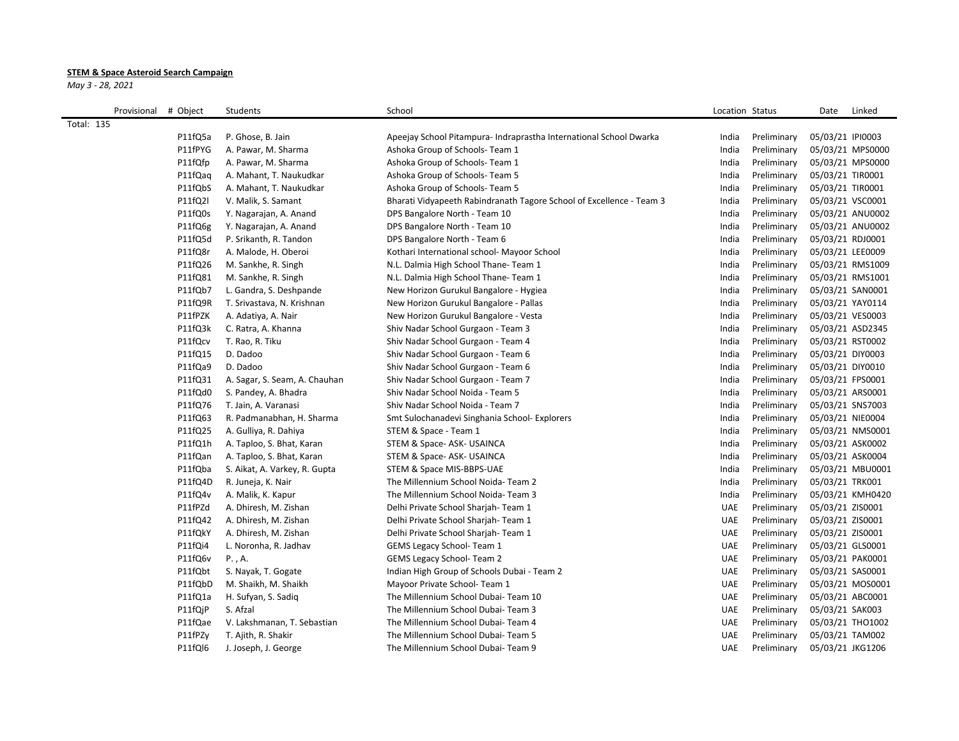## **STEM & Space Asteroid Search Campaign**

*May 3 - 28, 2021*

| Provisional       | # Object | Students                      | School                                                               | Location Status |             | Date             | Linked           |
|-------------------|----------|-------------------------------|----------------------------------------------------------------------|-----------------|-------------|------------------|------------------|
| <b>Total: 135</b> |          |                               |                                                                      |                 |             |                  |                  |
|                   | P11fQ5a  | P. Ghose, B. Jain             | Apeejay School Pitampura- Indraprastha International School Dwarka   | India           | Preliminary | 05/03/21 IPI0003 |                  |
|                   | P11fPYG  | A. Pawar, M. Sharma           | Ashoka Group of Schools- Team 1                                      | India           | Preliminary |                  | 05/03/21 MPS0000 |
|                   | P11fQfp  | A. Pawar, M. Sharma           | Ashoka Group of Schools- Team 1                                      | India           | Preliminary |                  | 05/03/21 MPS0000 |
|                   | P11fQaq  | A. Mahant, T. Naukudkar       | Ashoka Group of Schools- Team 5                                      | India           | Preliminary | 05/03/21 TIR0001 |                  |
|                   | P11fQbS  | A. Mahant, T. Naukudkar       | Ashoka Group of Schools- Team 5                                      | India           | Preliminary | 05/03/21 TIR0001 |                  |
|                   | P11fQ2l  | V. Malik, S. Samant           | Bharati Vidyapeeth Rabindranath Tagore School of Excellence - Team 3 | India           | Preliminary | 05/03/21 VSC0001 |                  |
|                   | P11fQ0s  | Y. Nagarajan, A. Anand        | DPS Bangalore North - Team 10                                        | India           | Preliminary |                  | 05/03/21 ANU0002 |
|                   | P11fQ6g  | Y. Nagarajan, A. Anand        | DPS Bangalore North - Team 10                                        | India           | Preliminary |                  | 05/03/21 ANU0002 |
|                   | P11fQ5d  | P. Srikanth, R. Tandon        | DPS Bangalore North - Team 6                                         | India           | Preliminary | 05/03/21 RDJ0001 |                  |
|                   | P11fQ8r  | A. Malode, H. Oberoi          | Kothari International school- Mayoor School                          | India           | Preliminary | 05/03/21 LEE0009 |                  |
|                   | P11fQ26  | M. Sankhe, R. Singh           | N.L. Dalmia High School Thane- Team 1                                | India           | Preliminary |                  | 05/03/21 RMS1009 |
|                   | P11fQ81  | M. Sankhe, R. Singh           | N.L. Dalmia High School Thane-Team 1                                 | India           | Preliminary |                  | 05/03/21 RMS1001 |
|                   | P11fQb7  | L. Gandra, S. Deshpande       | New Horizon Gurukul Bangalore - Hygiea                               | India           | Preliminary | 05/03/21 SAN0001 |                  |
|                   | P11fQ9R  | T. Srivastava, N. Krishnan    | New Horizon Gurukul Bangalore - Pallas                               | India           | Preliminary | 05/03/21 YAY0114 |                  |
|                   | P11fPZK  | A. Adatiya, A. Nair           | New Horizon Gurukul Bangalore - Vesta                                | India           | Preliminary | 05/03/21 VES0003 |                  |
|                   | P11fQ3k  | C. Ratra, A. Khanna           | Shiv Nadar School Gurgaon - Team 3                                   | India           | Preliminary | 05/03/21 ASD2345 |                  |
|                   | P11fQcv  | T. Rao, R. Tiku               | Shiv Nadar School Gurgaon - Team 4                                   | India           | Preliminary | 05/03/21 RST0002 |                  |
|                   | P11fQ15  | D. Dadoo                      | Shiv Nadar School Gurgaon - Team 6                                   | India           | Preliminary | 05/03/21 DIY0003 |                  |
|                   | P11fQa9  | D. Dadoo                      | Shiv Nadar School Gurgaon - Team 6                                   | India           | Preliminary | 05/03/21 DIY0010 |                  |
|                   | P11fQ31  | A. Sagar, S. Seam, A. Chauhan | Shiv Nadar School Gurgaon - Team 7                                   | India           | Preliminary | 05/03/21 FPS0001 |                  |
|                   | P11fQd0  | S. Pandey, A. Bhadra          | Shiv Nadar School Noida - Team 5                                     | India           | Preliminary | 05/03/21 ARS0001 |                  |
|                   | P11fQ76  | T. Jain, A. Varanasi          | Shiv Nadar School Noida - Team 7                                     | India           | Preliminary | 05/03/21 SNS7003 |                  |
|                   | P11fQ63  | R. Padmanabhan, H. Sharma     | Smt Sulochanadevi Singhania School- Explorers                        | India           | Preliminary | 05/03/21 NIE0004 |                  |
|                   | P11fQ25  | A. Gulliya, R. Dahiya         | STEM & Space - Team 1                                                | India           | Preliminary |                  | 05/03/21 NMS0001 |
|                   | P11fQ1h  | A. Taploo, S. Bhat, Karan     | STEM & Space-ASK-USAINCA                                             | India           | Preliminary | 05/03/21 ASK0002 |                  |
|                   | P11fQan  | A. Taploo, S. Bhat, Karan     | STEM & Space-ASK-USAINCA                                             | India           | Preliminary | 05/03/21 ASK0004 |                  |
|                   | P11fQba  | S. Aikat, A. Varkey, R. Gupta | STEM & Space MIS-BBPS-UAE                                            | India           | Preliminary |                  | 05/03/21 MBU0001 |
|                   | P11fQ4D  | R. Juneja, K. Nair            | The Millennium School Noida-Team 2                                   | India           | Preliminary | 05/03/21 TRK001  |                  |
|                   | P11fQ4v  | A. Malik, K. Kapur            | The Millennium School Noida- Team 3                                  | India           | Preliminary |                  | 05/03/21 KMH0420 |
|                   | P11fPZd  | A. Dhiresh, M. Zishan         | Delhi Private School Sharjah-Team 1                                  | <b>UAE</b>      | Preliminary | 05/03/21 ZIS0001 |                  |
|                   | P11fQ42  | A. Dhiresh, M. Zishan         | Delhi Private School Sharjah-Team 1                                  | <b>UAE</b>      | Preliminary | 05/03/21 ZIS0001 |                  |
|                   | P11fQkY  | A. Dhiresh, M. Zishan         | Delhi Private School Sharjah-Team 1                                  | <b>UAE</b>      | Preliminary | 05/03/21 ZIS0001 |                  |
|                   | P11fQi4  | L. Noronha, R. Jadhav         | <b>GEMS Legacy School- Team 1</b>                                    | <b>UAE</b>      | Preliminary | 05/03/21 GLS0001 |                  |
|                   | P11fQ6v  | P., A.                        | GEMS Legacy School- Team 2                                           | <b>UAE</b>      | Preliminary | 05/03/21 PAK0001 |                  |
|                   | P11fQbt  | S. Nayak, T. Gogate           | Indian High Group of Schools Dubai - Team 2                          | <b>UAE</b>      | Preliminary | 05/03/21 SAS0001 |                  |
|                   | P11fQbD  | M. Shaikh, M. Shaikh          | Mayoor Private School- Team 1                                        | <b>UAE</b>      | Preliminary |                  | 05/03/21 MOS0001 |
|                   | P11fQ1a  | H. Sufyan, S. Sadiq           | The Millennium School Dubai-Team 10                                  | <b>UAE</b>      | Preliminary | 05/03/21 ABC0001 |                  |
|                   | P11fQjP  | S. Afzal                      | The Millennium School Dubai- Team 3                                  | <b>UAE</b>      | Preliminary | 05/03/21 SAK003  |                  |
|                   | P11fQae  | V. Lakshmanan, T. Sebastian   | The Millennium School Dubai- Team 4                                  | <b>UAE</b>      | Preliminary | 05/03/21 THO1002 |                  |
|                   | P11fPZy  | T. Ajith, R. Shakir           | The Millennium School Dubai- Team 5                                  | <b>UAE</b>      | Preliminary | 05/03/21 TAM002  |                  |
|                   | P11fQl6  | J. Joseph, J. George          | The Millennium School Dubai- Team 9                                  | <b>UAE</b>      | Preliminary | 05/03/21 JKG1206 |                  |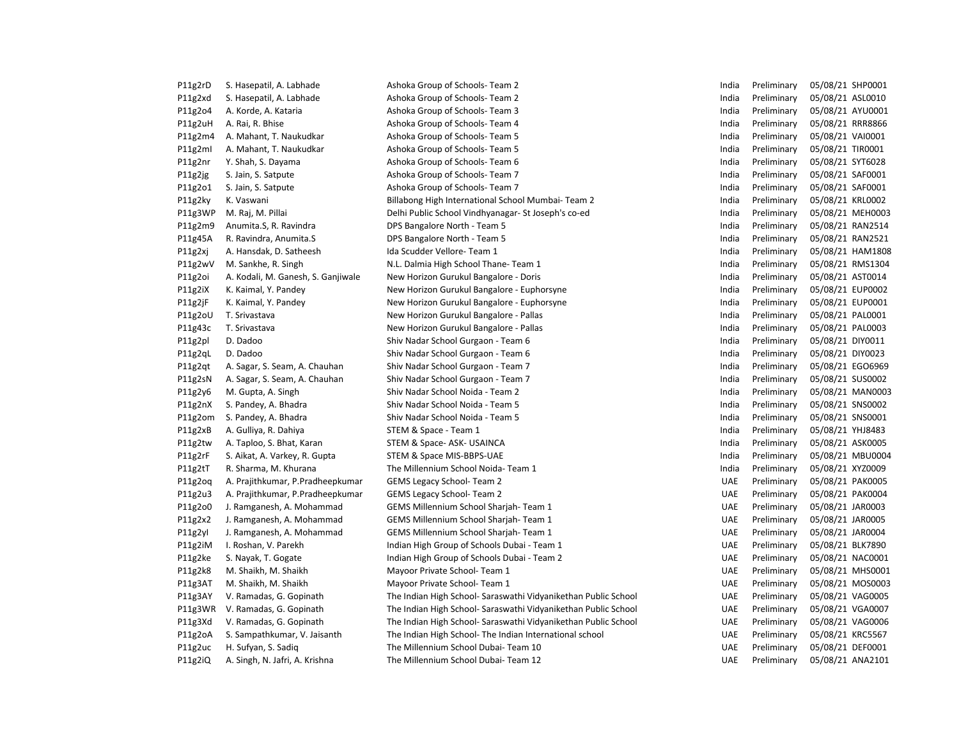| P11g2rD | S. Hasepatil, A. Labhade           | Ashoka Group of Schools- Team 2                                | India      | Preliminary | 05/08/21 SHP0001 |
|---------|------------------------------------|----------------------------------------------------------------|------------|-------------|------------------|
| P11g2xd | S. Hasepatil, A. Labhade           | Ashoka Group of Schools- Team 2                                | India      | Preliminary | 05/08/21 ASL0010 |
| P11g2o4 | A. Korde, A. Kataria               | Ashoka Group of Schools- Team 3                                | India      | Preliminary | 05/08/21 AYU0001 |
| P11g2uH | A. Rai, R. Bhise                   | Ashoka Group of Schools- Team 4                                | India      | Preliminary | 05/08/21 RRR8866 |
| P11g2m4 | A. Mahant, T. Naukudkar            | Ashoka Group of Schools- Team 5                                | India      | Preliminary | 05/08/21 VAI0001 |
| P11g2ml | A. Mahant, T. Naukudkar            | Ashoka Group of Schools- Team 5                                | India      | Preliminary | 05/08/21 TIR0001 |
| P11g2nr | Y. Shah, S. Dayama                 | Ashoka Group of Schools- Team 6                                | India      | Preliminary | 05/08/21 SYT6028 |
| P11g2jg | S. Jain, S. Satpute                | Ashoka Group of Schools- Team 7                                | India      | Preliminary | 05/08/21 SAF0001 |
| P11g2o1 | S. Jain, S. Satpute                | Ashoka Group of Schools- Team 7                                | India      | Preliminary | 05/08/21 SAF0001 |
| P11g2ky | K. Vaswani                         | Billabong High International School Mumbai-Team 2              | India      | Preliminary | 05/08/21 KRL0002 |
| P11g3WP | M. Raj, M. Pillai                  | Delhi Public School Vindhyanagar- St Joseph's co-ed            | India      | Preliminary | 05/08/21 MEH0003 |
| P11g2m9 | Anumita.S, R. Ravindra             | DPS Bangalore North - Team 5                                   | India      | Preliminary | 05/08/21 RAN2514 |
| P11g45A | R. Ravindra, Anumita.S             | DPS Bangalore North - Team 5                                   | India      | Preliminary | 05/08/21 RAN2521 |
| P11g2xj | A. Hansdak, D. Satheesh            | Ida Scudder Vellore- Team 1                                    | India      | Preliminary | 05/08/21 HAM1808 |
| P11g2wV | M. Sankhe, R. Singh                | N.L. Dalmia High School Thane-Team 1                           | India      | Preliminary | 05/08/21 RMS1304 |
| P11g2oi | A. Kodali, M. Ganesh, S. Ganjiwale | New Horizon Gurukul Bangalore - Doris                          | India      | Preliminary | 05/08/21 AST0014 |
| P11g2iX | K. Kaimal, Y. Pandey               | New Horizon Gurukul Bangalore - Euphorsyne                     | India      | Preliminary | 05/08/21 EUP0002 |
| P11g2jF | K. Kaimal, Y. Pandey               | New Horizon Gurukul Bangalore - Euphorsyne                     | India      | Preliminary | 05/08/21 EUP0001 |
| P11g2oU | T. Srivastava                      | New Horizon Gurukul Bangalore - Pallas                         | India      | Preliminary | 05/08/21 PAL0001 |
| P11g43c | T. Srivastava                      | New Horizon Gurukul Bangalore - Pallas                         | India      | Preliminary | 05/08/21 PAL0003 |
| P11g2pl | D. Dadoo                           | Shiv Nadar School Gurgaon - Team 6                             | India      | Preliminary | 05/08/21 DIY0011 |
| P11g2qL | D. Dadoo                           | Shiv Nadar School Gurgaon - Team 6                             | India      | Preliminary | 05/08/21 DIY0023 |
| P11g2qt | A. Sagar, S. Seam, A. Chauhan      | Shiv Nadar School Gurgaon - Team 7                             | India      | Preliminary | 05/08/21 EGO6969 |
| P11g2sN | A. Sagar, S. Seam, A. Chauhan      | Shiv Nadar School Gurgaon - Team 7                             | India      | Preliminary | 05/08/21 SUS0002 |
| P11g2y6 | M. Gupta, A. Singh                 | Shiv Nadar School Noida - Team 2                               | India      | Preliminary | 05/08/21 MAN0003 |
| P11g2nX | S. Pandey, A. Bhadra               | Shiv Nadar School Noida - Team 5                               | India      | Preliminary | 05/08/21 SNS0002 |
| P11g2om | S. Pandey, A. Bhadra               | Shiv Nadar School Noida - Team 5                               | India      | Preliminary | 05/08/21 SNS0001 |
| P11g2xB | A. Gulliya, R. Dahiya              | STEM & Space - Team 1                                          | India      | Preliminary | 05/08/21 YHJ8483 |
| P11g2tw | A. Taploo, S. Bhat, Karan          | STEM & Space-ASK-USAINCA                                       | India      | Preliminary | 05/08/21 ASK0005 |
| P11g2rF | S. Aikat, A. Varkey, R. Gupta      | STEM & Space MIS-BBPS-UAE                                      | India      | Preliminary | 05/08/21 MBU0004 |
| P11g2tT | R. Sharma, M. Khurana              | The Millennium School Noida-Team 1                             | India      | Preliminary | 05/08/21 XYZ0009 |
| P11g2og | A. Prajithkumar, P. Pradheepkumar  | <b>GEMS Legacy School- Team 2</b>                              | <b>UAE</b> | Preliminary | 05/08/21 PAK0005 |
| P11g2u3 | A. Prajithkumar, P. Pradheepkumar  | <b>GEMS Legacy School- Team 2</b>                              | <b>UAE</b> | Preliminary | 05/08/21 PAK0004 |
| P11g2o0 | J. Ramganesh, A. Mohammad          | GEMS Millennium School Sharjah-Team 1                          | <b>UAE</b> | Preliminary | 05/08/21 JAR0003 |
| P11g2x2 | J. Ramganesh, A. Mohammad          | GEMS Millennium School Sharjah- Team 1                         | <b>UAE</b> | Preliminary | 05/08/21 JAR0005 |
| P11g2yl | J. Ramganesh, A. Mohammad          | GEMS Millennium School Sharjah- Team 1                         | <b>UAE</b> | Preliminary | 05/08/21 JAR0004 |
| P11g2iM | I. Roshan, V. Parekh               | Indian High Group of Schools Dubai - Team 1                    | <b>UAE</b> | Preliminary | 05/08/21 BLK7890 |
| P11g2ke | S. Nayak, T. Gogate                | Indian High Group of Schools Dubai - Team 2                    | <b>UAE</b> | Preliminary | 05/08/21 NAC0001 |
| P11g2k8 | M. Shaikh, M. Shaikh               | Mayoor Private School- Team 1                                  | <b>UAE</b> | Preliminary | 05/08/21 MHS0001 |
| P11g3AT | M. Shaikh, M. Shaikh               | Mayoor Private School- Team 1                                  | <b>UAE</b> | Preliminary | 05/08/21 MOS0003 |
| P11g3AY | V. Ramadas, G. Gopinath            | The Indian High School- Saraswathi Vidyanikethan Public School | <b>UAE</b> | Preliminary | 05/08/21 VAG0005 |
| P11g3WR | V. Ramadas, G. Gopinath            | The Indian High School- Saraswathi Vidyanikethan Public School | <b>UAE</b> | Preliminary | 05/08/21 VGA0007 |
| P11g3Xd | V. Ramadas, G. Gopinath            | The Indian High School- Saraswathi Vidyanikethan Public School | <b>UAE</b> | Preliminary | 05/08/21 VAG0006 |
| P11g2oA | S. Sampathkumar, V. Jaisanth       | The Indian High School- The Indian International school        | <b>UAE</b> | Preliminary | 05/08/21 KRC5567 |
| P11g2uc | H. Sufyan, S. Sadiq                | The Millennium School Dubai- Team 10                           | <b>UAE</b> | Preliminary | 05/08/21 DEF0001 |
| P11g2iQ | A. Singh, N. Jafri, A. Krishna     | The Millennium School Dubai- Team 12                           | <b>UAE</b> | Preliminary | 05/08/21 ANA2101 |
|         |                                    |                                                                |            |             |                  |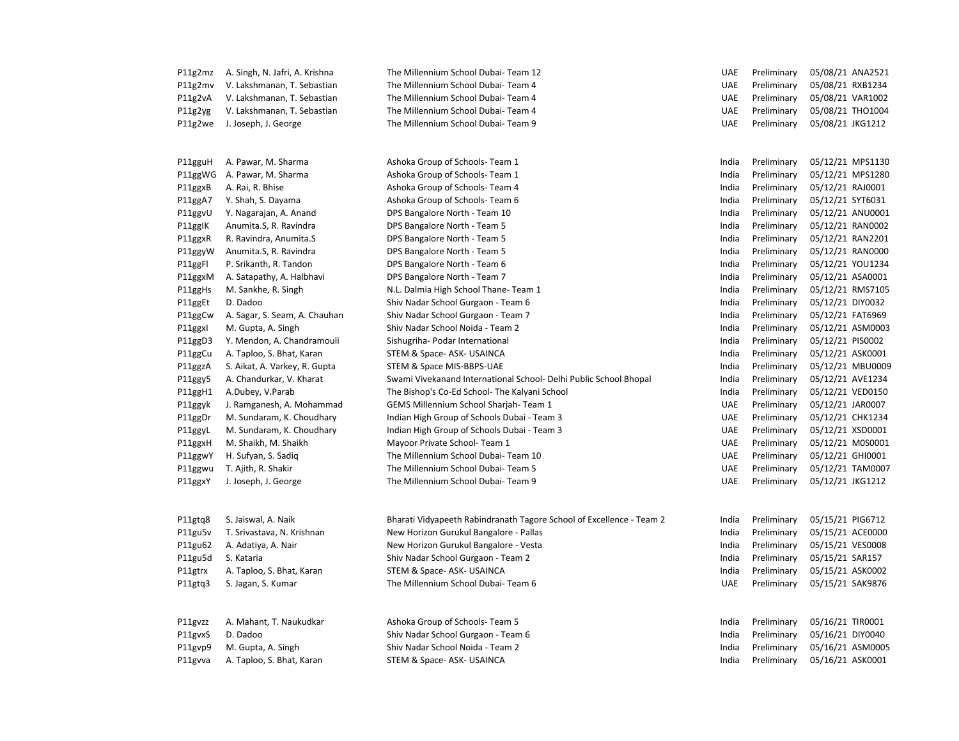| P11g2mz | A. Singh, N. Jafri, A. Krishna | The Millennium School Dubai- Team 12                                 | <b>UAE</b> | Preliminary | 05/08/21 ANA2521 |
|---------|--------------------------------|----------------------------------------------------------------------|------------|-------------|------------------|
| P11g2mv | V. Lakshmanan, T. Sebastian    | The Millennium School Dubai- Team 4                                  | <b>UAE</b> | Preliminary | 05/08/21 RXB1234 |
| P11g2vA | V. Lakshmanan, T. Sebastian    | The Millennium School Dubai- Team 4                                  | <b>UAE</b> | Preliminary | 05/08/21 VAR1002 |
| P11g2yg | V. Lakshmanan, T. Sebastian    | The Millennium School Dubai- Team 4                                  | <b>UAE</b> | Preliminary | 05/08/21 THO1004 |
| P11g2we | J. Joseph, J. George           | The Millennium School Dubai- Team 9                                  | <b>UAE</b> | Preliminary | 05/08/21 JKG1212 |
| P11gguH | A. Pawar, M. Sharma            | Ashoka Group of Schools- Team 1                                      | India      | Preliminary | 05/12/21 MPS1130 |
| P11ggWG | A. Pawar, M. Sharma            | Ashoka Group of Schools- Team 1                                      | India      | Preliminary | 05/12/21 MPS1280 |
| P11ggxB | A. Rai, R. Bhise               | Ashoka Group of Schools- Team 4                                      | India      | Preliminary | 05/12/21 RAJ0001 |
| P11ggA7 | Y. Shah, S. Dayama             | Ashoka Group of Schools- Team 6                                      | India      | Preliminary | 05/12/21 SYT6031 |
| P11ggvU | Y. Nagarajan, A. Anand         | DPS Bangalore North - Team 10                                        | India      | Preliminary | 05/12/21 ANU0001 |
| P11ggIK | Anumita.S, R. Ravindra         | DPS Bangalore North - Team 5                                         | India      | Preliminary | 05/12/21 RAN0002 |
| P11ggxR | R. Ravindra, Anumita.S         | DPS Bangalore North - Team 5                                         | India      | Preliminary | 05/12/21 RAN2201 |
| P11ggyW | Anumita.S, R. Ravindra         | DPS Bangalore North - Team 5                                         | India      | Preliminary | 05/12/21 RAN0000 |
| P11ggFl | P. Srikanth, R. Tandon         | DPS Bangalore North - Team 6                                         | India      | Preliminary | 05/12/21 YOU1234 |
| P11ggxM | A. Satapathy, A. Halbhavi      | DPS Bangalore North - Team 7                                         | India      | Preliminary | 05/12/21 ASA0001 |
| P11ggHs | M. Sankhe, R. Singh            | N.L. Dalmia High School Thane- Team 1                                | India      | Preliminary | 05/12/21 RMS7105 |
| P11ggEt | D. Dadoo                       | Shiv Nadar School Gurgaon - Team 6                                   | India      | Preliminary | 05/12/21 DIY0032 |
| P11ggCw | A. Sagar, S. Seam, A. Chauhan  | Shiv Nadar School Gurgaon - Team 7                                   | India      | Preliminary | 05/12/21 FAT6969 |
| P11ggxl | M. Gupta, A. Singh             | Shiv Nadar School Noida - Team 2                                     | India      | Preliminary | 05/12/21 ASM0003 |
| P11ggD3 | Y. Mendon, A. Chandramouli     | Sishugriha- Podar International                                      | India      | Preliminary | 05/12/21 PIS0002 |
| P11ggCu | A. Taploo, S. Bhat, Karan      | STEM & Space- ASK- USAINCA                                           | India      | Preliminary | 05/12/21 ASK0001 |
| P11ggzA | S. Aikat, A. Varkey, R. Gupta  | STEM & Space MIS-BBPS-UAE                                            | India      | Preliminary | 05/12/21 MBU0009 |
| P11ggy5 | A. Chandurkar, V. Kharat       | Swami Vivekanand International School- Delhi Public School Bhopal    | India      | Preliminary | 05/12/21 AVE1234 |
| P11ggH1 | A.Dubey, V.Parab               | The Bishop's Co-Ed School- The Kalyani School                        | India      | Preliminary | 05/12/21 VED0150 |
| P11ggyk | J. Ramganesh, A. Mohammad      | GEMS Millennium School Sharjah-Team 1                                | <b>UAE</b> | Preliminary | 05/12/21 JAR0007 |
| P11ggDr | M. Sundaram, K. Choudhary      | Indian High Group of Schools Dubai - Team 3                          | <b>UAE</b> | Preliminary | 05/12/21 CHK1234 |
| P11ggyL | M. Sundaram, K. Choudhary      | Indian High Group of Schools Dubai - Team 3                          | <b>UAE</b> | Preliminary | 05/12/21 XSD0001 |
| P11ggxH | M. Shaikh, M. Shaikh           | Mayoor Private School- Team 1                                        | <b>UAE</b> | Preliminary | 05/12/21 M0S0001 |
| P11ggwY | H. Sufyan, S. Sadiq            | The Millennium School Dubai- Team 10                                 | <b>UAE</b> | Preliminary | 05/12/21 GHI0001 |
| P11ggwu | T. Ajith, R. Shakir            | The Millennium School Dubai- Team 5                                  | <b>UAE</b> | Preliminary | 05/12/21 TAM0007 |
| P11ggxY | J. Joseph, J. George           | The Millennium School Dubai- Team 9                                  | <b>UAE</b> | Preliminary | 05/12/21 JKG1212 |
| P11gtq8 | S. Jaiswal, A. Naik            | Bharati Vidyapeeth Rabindranath Tagore School of Excellence - Team 2 | India      | Preliminary | 05/15/21 PIG6712 |
| P11gu5v | T. Srivastava, N. Krishnan     | New Horizon Gurukul Bangalore - Pallas                               | India      | Preliminary | 05/15/21 ACE0000 |
| P11gu62 | A. Adatiya, A. Nair            | New Horizon Gurukul Bangalore - Vesta                                | India      | Preliminary | 05/15/21 VES0008 |
| P11gu5d | S. Kataria                     | Shiv Nadar School Gurgaon - Team 2                                   | India      | Preliminary | 05/15/21 SAR157  |
| P11gtrx | A. Taploo, S. Bhat, Karan      | STEM & Space- ASK- USAINCA                                           | India      | Preliminary | 05/15/21 ASK0002 |
| P11gtq3 | S. Jagan, S. Kumar             | The Millennium School Dubai- Team 6                                  | <b>UAE</b> | Preliminary | 05/15/21 SAK9876 |
| P11gvzz | A. Mahant, T. Naukudkar        | Ashoka Group of Schools- Team 5                                      | India      | Preliminary | 05/16/21 TIR0001 |
| P11gvxS | D. Dadoo                       | Shiv Nadar School Gurgaon - Team 6                                   | India      | Preliminary | 05/16/21 DIY0040 |
| P11gvp9 | M. Gupta, A. Singh             | Shiv Nadar School Noida - Team 2                                     | India      | Preliminary | 05/16/21 ASM0005 |
| P11gvva | A. Taploo, S. Bhat, Karan      | STEM & Space-ASK-USAINCA                                             | India      | Preliminary | 05/16/21 ASK0001 |